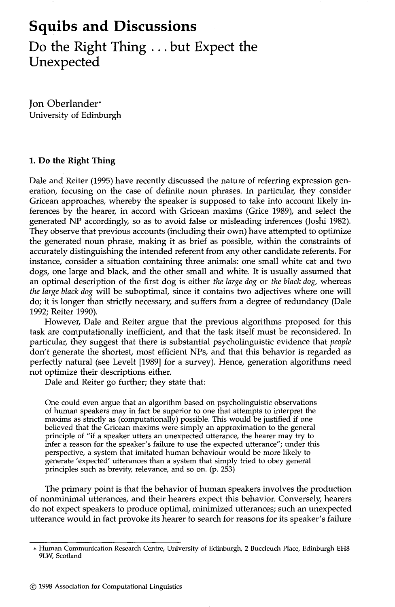# **Squibs and Discussions Do the Right Thing ... but Expect the Unexpected**

**Jon** Oberlander" University of Edinburgh

## **1. Do the Right Thing**

Dale and Reiter (1995) have recently discussed the nature of referring expression generation, focusing on the case of definite noun phrases. In particular, they consider Gricean approaches, whereby the speaker is supposed to take into account likely inferences by the hearer, in accord with Gricean maxims (Grice 1989), and select the generated NP accordingly, so as to avoid false or misleading inferences (Joshi 1982). They observe that previous accounts (including their own) have attempted to optimize the generated noun phrase, making it as brief as possible, within the constraints of accurately distinguishing the intended referent from any other candidate referents. For instance, consider a situation containing three animals: one small white cat and two dogs, one large and black, and the other small and white. It is usually assumed that an optimal description of the first dog is either *the large dog* or *the black dog,* whereas *the large black dog* will be suboptimal, since it contains two adjectives where one will do; it is longer than strictly necessary, and suffers from a degree of redundancy (Dale 1992; Reiter 1990).

However, Dale and Reiter argue that the previous algorithms proposed for this task are computationally inefficient, and that the task itself must be reconsidered. In particular, they suggest that there is substantial psycholinguistic evidence that *people*  don't generate the shortest, most efficient NPs, and that this behavior is regarded as perfectly natural (see Levelt [1989] for a survey). Hence, generation algorithms need not optimize their descriptions either.

Dale and Reiter go further; they state that:

One could even argue that an algorithm based on psycholinguistic observations of human speakers may in fact be superior to one that attempts to interpret the maxims as strictly as (computationally) possible. This would be justified if one believed that the Gricean maxims were simply an approximation to the general principle of "if a speaker utters an unexpected utterance, the hearer may try to infer a reason for the speaker's failure to use the expected utterance"; under this perspective, a system that imitated human behaviour would be more likely to generate 'expected' utterances than a system that simply tried to obey general principles such as brevity, relevance, and so on. (p. 253)

The primary point is that the behavior of human speakers involves the production of nonrninimal utterances, and their hearers expect this behavior. Conversely, hearers do not expect speakers to produce optimal, minimized utterances; such an unexpected utterance would in fact provoke its hearer to search for reasons for its speaker's failure

<sup>\*</sup> Human Communication Research Centre, University of Edinburgh, 2 Buccleuch Place, Edinburgh EH8 9LW, Scotland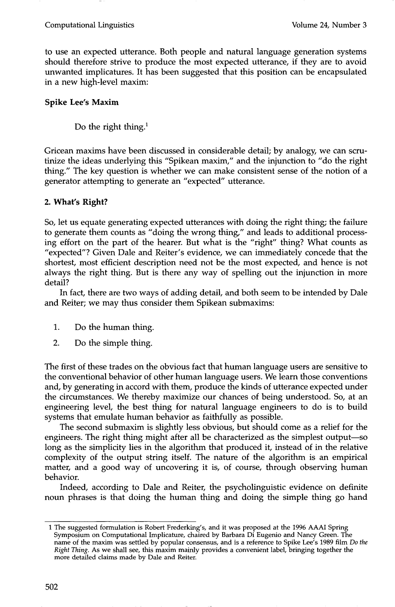to use an expected utterance. Both people and natural language generation systems should therefore strive to produce the most expected utterance, if they are to avoid unwanted implicatures. It has been suggested that this position can be encapsulated in a new high-level maxim:

## **Spike Lee's Maxim**

Do the right thing.<sup>1</sup>

Gricean maxims have been discussed in considerable detail; by analogy, we can scrutinize the ideas underlying this "Spikean maxim," and the injunction to "do the right thing." The key question is whether we can make consistent sense of the notion of a generator attempting to generate an "expected" utterance.

## **2. What's Right?**

So, let us equate generating expected utterances with doing the right thing; the failure to generate them counts as "doing the wrong thing," and leads to additional processing effort on the part of the hearer. But what is the "right" thing? What counts as "expected"? Given Dale and Reiter's evidence, we can immediately concede that the shortest, most efficient description need not be the most expected, and hence is not always the right thing. But is there any way of spelling out the injunction in more detail?

In fact, there are two ways of adding detail, and both seem to be intended by Dale and Reiter; we may thus consider them Spikean submaxims:

- . Do the human thing.
- 2. Do the simple thing.

The first of these trades on the obvious fact that human language users are sensitive to the conventional behavior of other human language users. We learn those conventions and, by generating in accord with them, produce the kinds of utterance expected under the circumstances. We thereby maximize our chances of being understood. So, at an engineering level, the best thing for natural language engineers to do is to build systems that emulate human behavior as faithfully as possible.

The second submaxim is slightly less obvious, but should come as a relief for the engineers. The right thing might after all be characterized as the simplest output--so long as the simplicity lies in the algorithm that produced it, instead of in the relative complexity of the output string itself. The nature of the algorithm is an empirical matter, and a good way of uncovering it is, of course, through observing human behavior.

Indeed, according to Dale and Reiter, the psycholinguistic evidence on definite noun phrases is that doing the human thing and doing the simple thing go hand

<sup>1</sup> The suggested formulation is Robert Frederking's, and it was proposed at the 1996 AAAI Spring Symposium on Computational Implicature, chaired by Barbara Di Eugenio and Nancy Green. The name of the maxim was settled by popular consensus, and is a reference to Spike Lee's 1989 film *Do the Right Thing.* As we shall see, this maxim mainly provides a convenient label, bringing together the more detailed daims made by Dale and Reiter.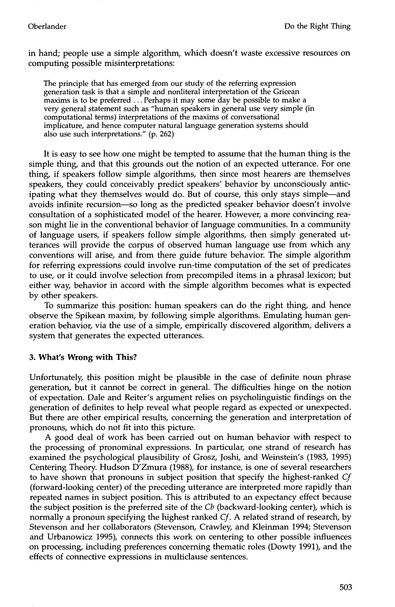in hand; people use a simple algorithm, which doesn't waste excessive resources on computing possible misinterpretations:

The principle that has emerged from our study of the referring expression generation task is that a simple and nonliteral interpretation of the Gricean maxims is to be preferred... Perhaps it may some day be possible to make a very general statement such as "human speakers in general use very simple (in computational terms) interpretations of the maxims of conversational implicature, and hence computer natural language generation systems should also use such interpretations." (p. 262)

It is easy to see how one might be tempted to assume that the human thing is the simple thing, and that this grounds out the notion of an expected utterance. For one thing, if speakers follow simple algorithms, then since most hearers are themselves speakers, they could conceivably predict speakers' behavior by unconsciously anticipating what they themselves would do. But of course, this only stays simple--and avoids infinite recursion-so long as the predicted speaker behavior doesn't involve consultation of a sophisticated model of the hearer. However, a more convincing reason might lie in the conventional behavior of language communities. In a community of language users, if speakers follow simple algorithms, then simply generated utterances will provide the corpus of observed human language use from which any conventions will arise, and from there guide future behavior. The simple algorithm for referring expressions could involve run-time computation of the set of predicates to use, or it could involve selection from precompiled items in a phrasal lexicon; but either way, behavior in accord with the simple algorithm becomes what is expected by other speakers.

To summarize this position: human speakers can do the right thing, and hence observe the Spikean maxim, by following simple algorithms. Emulating human generation behavior, via the use of a simple, empirically discovered algorithm, delivers a system that generates the expected utterances.

#### **3. What's Wrong with This?**

Unfortunately, this position might be plausible in the case of definite noun phrase generation, but it cannot be correct in general. The difficulties hinge on the notion of expectation. Dale and Reiter's argument relies on psycholinguistic findings on the generation of definites to help reveal what people regard as expected or unexpected. But there are other empirical results, concerning the generation and interpretation of pronouns, which do not fit into this picture.

A good deal of work has been carried out on human behavior with respect to the processing of pronominal expressions. In particular, one strand of research has examined the psychological plausibility of Grosz, Joshi, and Weinstein's (1983, 1995) Centering Theory. Hudson D'Zmura (1988), for instance, is one of several researchers to have shown that pronouns in subject position that specify the highest-ranked *Cf*  (forward-looking center) of the preceding utterance are interpreted more rapidly than repeated names in subject position. This is attributed to an expectancy effect because the subject position is the preferred site of the *Cb* (backward-looking center), which is normally a pronoun specifying the highest ranked *Cf.* A related strand of research, by Stevenson and her collaborators (Stevenson, Crawley, and Kleinman 1994; Stevenson and Urbanowicz 1995), connects this work on centering to other possible influences on processing, including preferences concerning thematic roles (Dowty 1991), and the effects of connective expressions in multiclause sentences.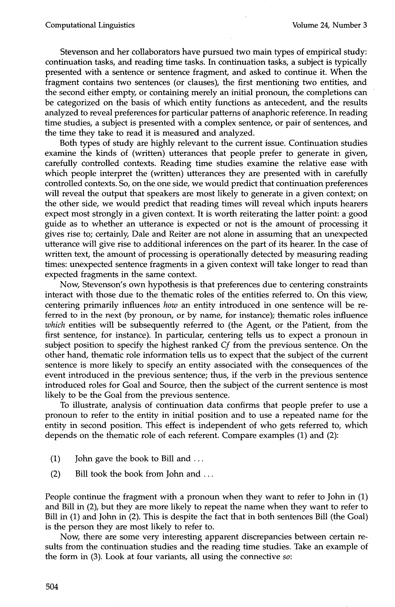Stevenson and her collaborators have pursued two main types of empirical study: continuation tasks, and reading time tasks. In continuation tasks, a subject is typically presented with a sentence or sentence fragment, and asked to continue it. When the fragment contains two sentences (or clauses), the first mentioning two entities, and the second either empty, or containing merely an initial pronoun, the completions can be categorized on the basis of which entity functions as antecedent, and the results analyzed to reveal preferences for particular patterns of anaphoric reference. In reading time studies, a subject is presented with a complex sentence, or pair of sentences, and the time they take to read it is measured and analyzed.

Both types of study are highly relevant to the current issue. Continuation studies examine the kinds of (written) utterances that people prefer to generate in given, carefully controlled contexts. Reading time studies examine the relative ease with which people interpret the (written) utterances they are presented with in carefully controlled contexts. So, on the one side, we would predict that continuation preferences will reveal the output that speakers are most likely to generate in a given context; on the other side, we would predict that reading times will reveal which inputs hearers expect most strongly in a given context. It is worth reiterating the latter point: a good guide as to whether an utterance is expected or not is the amount of processing it gives rise to; certainly, Dale and Reiter are not alone in assuming that an unexpected utterance will give rise to additional inferences on the part of its hearer. In the case of written text, the amount of processing is operationally detected by measuring reading times: unexpected sentence fragments in a given context will take longer to read than expected fragments in the same context.

Now, Stevenson's own hypothesis is that preferences due to centering constraints interact with those due to the thematic roles of the entities referred to. On this view, centering primarily influences *how* an entity introduced in one sentence will be referred to in the next (by pronoun, or by name, for instance); thematic roles influence *which* entities will be subsequently referred to (the Agent, or the Patient, from the first sentence, for instance). In particular, centering tells us to expect a pronoun in subject position to specify the highest ranked *Cf* from the previous sentence. On the other hand, thematic role information tells us to expect that the subject of the current sentence is more likely to specify an entity associated with the consequences of the event introduced in the previous sentence; thus, if the verb in the previous sentence introduced roles for Goal and Source, then the subject of the current sentence is most likely to be the Goal from the previous sentence.

To illustrate, analysis of continuation data confirms that people prefer to use a pronoun to refer to the entity in initial position and to use a repeated name for the entity in second position. This effect is independent of who gets referred to, which depends on the thematic role of each referent. Compare examples (1) and (2):

- (1) John gave the book to Bill and ...
- (2) Bill took the book from John and ...

People continue the fragment with a pronoun when they want to refer to John in (1) and Bill in (2), but they are more likely to repeat the name when they want to refer to Bill in (1) and John in (2). This is despite the fact that in both sentences Bill (the Goal) is the person they are most likely to refer to.

Now, there are some very interesting apparent discrepancies between certain results from the continuation studies and the reading time studies. Take an example of the form in (3). Look at four variants, all using the connective *so:*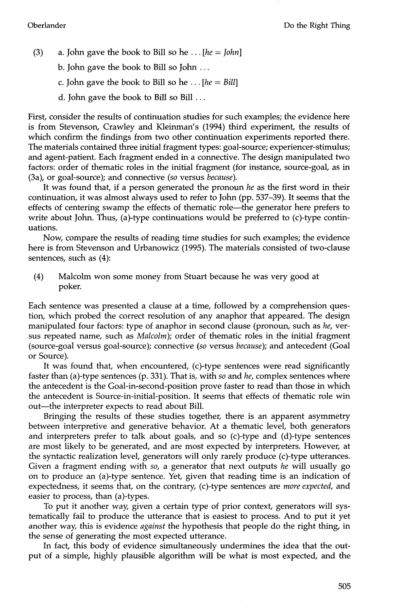(3) a. John gave the book to Bill so he ... *[he = John]* 

b. John gave the book to Bill so John ...

- c. John gave the book to Bill so he ... *[he = Bill]*
- d. John gave the book to Bill so Bill ...

First, consider the results of continuation studies for such examples; the evidence here is from Stevenson, Crawley and Kleinman's (1994) third experiment, the results of which confirm the findings from two other continuation experiments reported there. The materials contained three initial fragment types: goal-source; experiencer-stimulus; and agent-patient. Each fragment ended in a connective. The design manipulated two factors: order of thematic roles in the initial fragment (for instance, source-goal, as in (3a), or goal-source); and connective *(so* versus *because).* 

It was found that, if a person generated the pronoun *he* as the first word in their continuation, it was almost always used to refer to John (pp. 537-39). It seems that the effects of centering swamp the effects of thematic role--the generator here prefers to write about John. Thus, (a)-type continuations would be preferred to (c)-type continuations.

Now, compare the results of reading time studies for such examples; the evidence here is from Stevenson and Urbanowicz (1995). The materials consisted of two-clause sentences, such as (4):

(4) Malcolm won some money from Stuart because he was very good at poker.

Each sentence was presented a clause at a time, followed by a comprehension question, which probed the correct resolution of any anaphor that appeared. The design manipulated four factors: type of anaphor in second clause (pronoun, such as *he,* versus repeated name, such as *Malcolm);* order of thematic roles in the initial fragment (source-goal versus goal-source); connective *(so* versus *because);* and antecedent (Goal or Source).

It was found that, when encountered, (c)-type sentences were read significantly faster than (a)-type sentences (p. 331). That is, with *so* and *he,* complex sentences where the antecedent is the Goal-in-second-position prove faster to read than those in which the antecedent is Source-in-initial-position. It seems that effects of thematic role win out-the interpreter expects to read about Bill.

Bringing the results of these studies together, there is an apparent asymmetry between interpretive and generative behavior. At a thematic level, both generators and interpreters prefer to talk about goals, and so (c)-type and (d)-type sentences are most likely to be generated, and are most expected by interpreters. However, at the syntactic realization level, generators will only rarely produce (c)-type utterances. Given a fragment ending with *so,* a generator that next outputs *he* will usually go on to produce an (a)-type sentence. Yet, given that reading time is an indication of expectedness, it seems that, on the contrary, (c)-type sentences are *more expected*, and easier to process, than (a)-types.

To put it another way, given a certain type of prior context, generators will systematically fail to produce the utterance that is easiest to process. And to put it yet another way, this is evidence *against* the hypothesis that people do the right thing, in the sense of generating the most expected utterance.

In fact, this body of evidence simultaneously undermines the idea that the output of a simple, highly plausible algorithm will be what is most expected, and the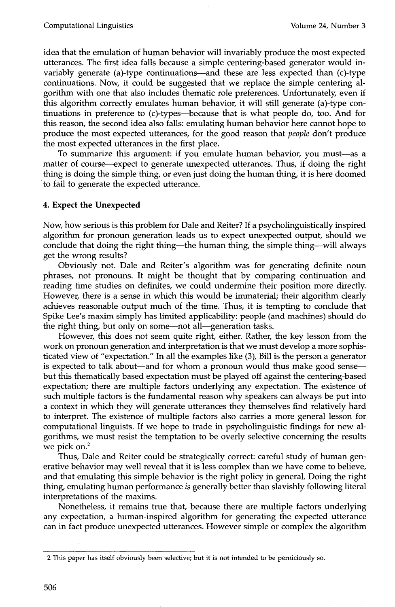idea that the emulation of human behavior will invariably produce the most expected utterances. The first idea falls because a simple centering-based generator would invariably generate (a)-type continuations-and these are less expected than (c)-type continuations. Now, it could be suggested that we replace the simple centering algorithm with one that also includes thematic role preferences. Unfortunately, even if this algorithm correctly emulates human behavior, it will still generate (a)-type continuations in preference to (c)-types--because that is what people do, too. And for this reason, the second idea also falls: emulating human behavior here cannot hope to produce the most expected utterances, for the good reason that *people* don't produce the most expected utterances in the first place.

To summarize this argument: if you emulate human behavior, you must--as a matter of course--expect to generate unexpected utterances. Thus, if doing the right thing is doing the simple thing, or even just doing the human thing, it is here doomed to fail to generate the expected utterance.

# **4. Expect the Unexpected**

Now, how serious is this problem for Dale and Reiter? If a psycholinguistically inspired algorithm for pronoun generation leads us to expect unexpected output, should we conclude that doing the right thing--the human thing, the simple thing--will always get the wrong results?

Obviously not. Dale and Reiter's algorithm was for generating definite noun phrases, not pronouns. It might be thought that by comparing continuation and reading time studies on definites, we could undermine their position more directly. However, there is a sense in which this would be immaterial; their algorithm clearly achieves reasonable output much of the time. Thus, it is tempting to conclude that Spike Lee's maxim simply has limited applicability: people (and machines) should do the right thing, but only on some-not all-generation tasks.

However, this does not seem quite right, either. Rather, the key lesson from the work on pronoun generation and interpretation is that we must develop a more sophisticated view of "expectation." In all the examples like (3), Bill is the person a generator is expected to talk about—and for whom a pronoun would thus make good sense but this thematically based expectation must be played off against the centering-based expectation; there are multiple factors underlying any expectation. The existence of such multiple factors is the fundamental reason why speakers can always be put into a context in which they will generate utterances they themselves find relatively hard to interpret. The existence of multiple factors also carries a more general lesson for computational linguists. If we hope to trade in psycholinguistic findings for new algorithms, we must resist the temptation to be overly selective concerning the results we pick on.<sup>2</sup>

Thus, Dale and Reiter could be strategically correct: careful study of human generative behavior may well reveal that it is less complex than we have come to believe, and that emulating this simple behavior is the right policy in general. Doing the right thing, emulating human performance *is* generally better than slavishly following literal interpretations of the maxims.

Nonetheless, it remains true that, because there are multiple factors underlying any expectation, a human-inspired algorithm for generating the expected utterance can in fact produce unexpected utterances. However simple or complex the algorithm

<sup>2</sup> This paper has itself obviously been selective; but it is not intended to be perniciously so.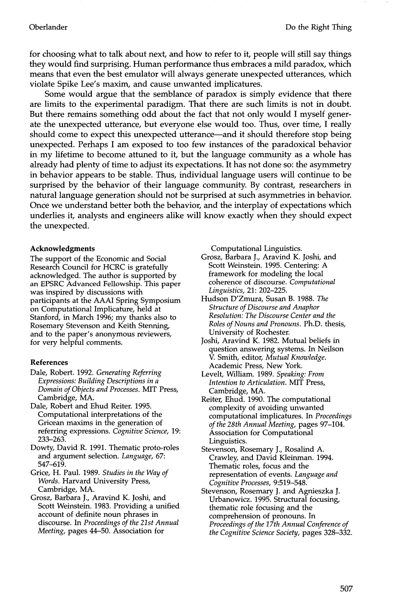for choosing what to talk about next, and how to refer to it, people will still say things they would find surprising. Human performance thus embraces a mild paradox, which means that even the best emulator will always generate unexpected utterances, which violate Spike Lee's maxim, and cause unwanted implicatures.

Some would argue that the semblance of paradox is simply evidence that there are limits to the experimental paradigm. That there are such limits is not in doubt. But there remains something odd about the fact that not only would I myself generate the unexpected utterance, but everyone else would too. Thus, over time, I really should come to expect this unexpected utterance—and it should therefore stop being unexpected. Perhaps I am exposed to too few instances of the paradoxical behavior in my lifetime to become attuned to it, but the language community as a whole has already had plenty of time to adjust its expectations. It has not done so: the asymmetry in behavior appears to be stable. Thus, individual language users will continue to be surprised by the behavior of their language community. By contrast, researchers in natural language generation should not be surprised at such asymmetries in behavior. Once we understand better both the behavior, and the interplay of expectations which underlies it, analysts and engineers alike will know exactly when they should expect the unexpected.

#### **Acknowledgments**

The support of the Economic and Social Research Council for HCRC is gratefully acknowledged. The author is supported by an EPSRC Advanced Fellowship. This paper was inspired by discussions with participants at the AAAI Spring Symposium on Computational Implicature, held at Stanford, in March 1996; my thanks also to Rosemary Stevenson and Keith Stenning, and to the paper's anonymous reviewers, for very helpful comments.

### **References**

- Dale, Robert. 1992. *Generating Referring Expressions: Building Descriptions in a Domain of Objects and Processes.* MIT Press, Cambridge, MA.
- Dale, Robert and Ehud Reiter. 1995. Computational interpretations of the Gricean maxims in the generation of referring expressions. *Cognitive Science,* 19: 233-263.
- Dowty, David R. 1991. Thematic proto-roles and argument selection. *Language,* 67: 547-619.
- Grice, H. Paul. 1989. *Studies in the Way of Words.* Harvard University Press, Cambridge, MA.
- Grosz, Barbara J., Aravind K. Joshi, and Scott Weinstein. 1983. Providing a unified account of definite noun phrases in discourse. In *Proceedings of the 21st Annual Meeting,* pages 44-50. Association for

Computational Linguistics.

Grosz, Barbara J., Aravind K. Joshi, and Scott Weinstein. 1995. Centering: A framework for modeling the local coherence of discourse. *Computational Linguistics,* 21: 202-225.

- Hudson D'Zmura, Susan B. 1988. *The Structure of Discourse and Anaphor Resolution: The Discourse Center and the Roles of Nouns and Pronouns.* Ph.D. thesis, University of Rochester.
- Joshi, Aravind K. 1982. Mutual beliefs in question answering systems. In Neilson V. Smith, editor, *Mutual Knowledge.*  Academic Press, New York.
- Levelt, William. 1989. *Speaking: From Intention to Articulation.* MIT Press, Cambridge, MA.
- Reiter, Ehud. 1990. The computational complexity of avoiding unwanted computational implicatures. In *Proceedings of the 28th Annual Meeting,* pages 97-104. Association for Computational Linguistics.
- Stevenson, Rosemary J., Rosalind A. Crawley, and David Kleinman. 1994. Thematic roles, focus and the representation of events. *Language and Cognitive Processes,* 9:519-548.
- Stevenson, Rosemary J. and Agnieszka J. Urbanowicz. 1995. Structural focusing,, thematic role focusing and the comprehension of pronouns. In *Proceedings of the 17th Annual Conference of the Cognitive Science Society,* pages 328-332.